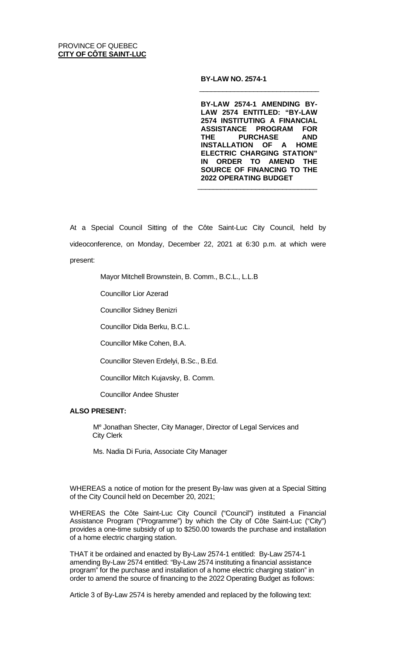## **BY-LAW NO. 2574-1**

**BY-LAW 2574-1 AMENDING BY-LAW 2574 ENTITLED: "BY-LAW 2574 INSTITUTING A FINANCIAL ASSISTANCE PROGRAM FOR THE PURCHASE AND INSTALLATION OF A HOME ELECTRIC CHARGING STATION" IN ORDER TO AMEND THE SOURCE OF FINANCING TO THE 2022 OPERATING BUDGET**

 $\frac{1}{\sqrt{2}}$  ,  $\frac{1}{\sqrt{2}}$  ,  $\frac{1}{\sqrt{2}}$  ,  $\frac{1}{\sqrt{2}}$  ,  $\frac{1}{\sqrt{2}}$  ,  $\frac{1}{\sqrt{2}}$  ,  $\frac{1}{\sqrt{2}}$  ,  $\frac{1}{\sqrt{2}}$  ,  $\frac{1}{\sqrt{2}}$  ,  $\frac{1}{\sqrt{2}}$  ,  $\frac{1}{\sqrt{2}}$  ,  $\frac{1}{\sqrt{2}}$  ,  $\frac{1}{\sqrt{2}}$  ,  $\frac{1}{\sqrt{2}}$  ,  $\frac{1}{\sqrt{2}}$ 

 $\frac{1}{\sqrt{2}}$  ,  $\frac{1}{\sqrt{2}}$  ,  $\frac{1}{\sqrt{2}}$  ,  $\frac{1}{\sqrt{2}}$  ,  $\frac{1}{\sqrt{2}}$  ,  $\frac{1}{\sqrt{2}}$  ,  $\frac{1}{\sqrt{2}}$  ,  $\frac{1}{\sqrt{2}}$  ,  $\frac{1}{\sqrt{2}}$  ,  $\frac{1}{\sqrt{2}}$  ,  $\frac{1}{\sqrt{2}}$  ,  $\frac{1}{\sqrt{2}}$  ,  $\frac{1}{\sqrt{2}}$  ,  $\frac{1}{\sqrt{2}}$  ,  $\frac{1}{\sqrt{2}}$ 

At a Special Council Sitting of the Côte Saint-Luc City Council, held by videoconference, on Monday, December 22, 2021 at 6:30 p.m. at which were present:

Mayor Mitchell Brownstein, B. Comm., B.C.L., L.L.B

Councillor Lior Azerad

Councillor Sidney Benizri

Councillor Dida Berku, B.C.L.

Councillor Mike Cohen, B.A.

Councillor Steven Erdelyi, B.Sc., B.Ed.

Councillor Mitch Kujavsky, B. Comm.

Councillor Andee Shuster

## **ALSO PRESENT:**

Me Jonathan Shecter, City Manager, Director of Legal Services and City Clerk

Ms. Nadia Di Furia, Associate City Manager

WHEREAS a notice of motion for the present By-law was given at a Special Sitting of the City Council held on December 20, 2021;

WHEREAS the Côte Saint-Luc City Council ("Council") instituted a Financial Assistance Program ("Programme") by which the City of Côte Saint-Luc ("City") provides a one-time subsidy of up to \$250.00 towards the purchase and installation of a home electric charging station.

THAT it be ordained and enacted by By-Law 2574-1 entitled: By-Law 2574-1 amending By-Law 2574 entitled: "By-Law 2574 instituting a financial assistance program" for the purchase and installation of a home electric charging station" in order to amend the source of financing to the 2022 Operating Budget as follows:

Article 3 of By-Law 2574 is hereby amended and replaced by the following text: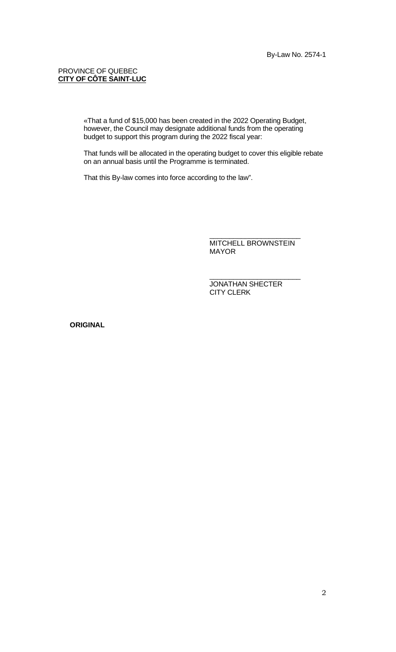## PROVINCE OF QUEBEC **CITY OF CÔTE SAINT-LUC**

«That a fund of \$15,000 has been created in the 2022 Operating Budget, however, the Council may designate additional funds from the operating budget to support this program during the 2022 fiscal year:

That funds will be allocated in the operating budget to cover this eligible rebate on an annual basis until the Programme is terminated.

That this By-law comes into force according to the law".

\_\_\_\_\_\_\_\_\_\_\_\_\_\_\_\_\_\_\_\_\_\_\_ MITCHELL BROWNSTEIN MAYOR

\_\_\_\_\_\_\_\_\_\_\_\_\_\_\_\_\_\_\_\_\_\_\_

JONATHAN SHECTER CITY CLERK

**ORIGINAL**